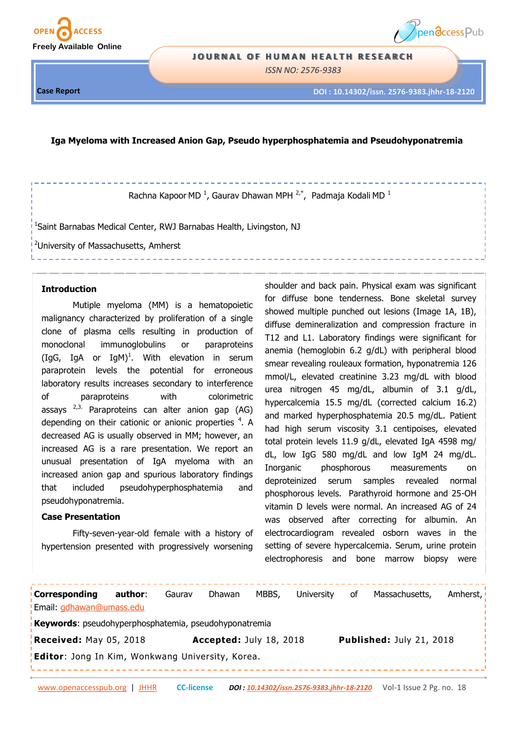



#### **JOURNAL OF HUMAN HEALTH RESEARCH**

*ISSN NO: 2576-9383* 

-----------------

**Case Report**

**DOI : 10.14302/issn. 2576-9383.jhhr-18-2120**

#### **Iga Myeloma with Increased Anion Gap, Pseudo hyperphosphatemia and Pseudohyponatremia**

Rachna Kapoor MD<sup>1</sup>, Gaurav Dhawan MPH<sup>2,\*</sup>, Padmaja Kodali MD<sup>1</sup>

<sup>1</sup>Saint Barnabas Medical Center, RWJ Barnabas Health, Livingston, NJ

<sup>2</sup>University of Massachusetts, Amherst

### **Introduction**

Mutiple myeloma (MM) is a hematopoietic malignancy characterized by proliferation of a single clone of plasma cells resulting in production of monoclonal immunoglobulins or paraproteins (IgG, IgA or IgM)<sup>1</sup>. With elevation in serum paraprotein levels the potential for erroneous laboratory results increases secondary to interference of paraproteins with colorimetric assays  $2,3$ . Paraproteins can alter anion gap (AG) depending on their cationic or anionic properties  $4$ . A decreased AG is usually observed in MM; however, an increased AG is a rare presentation. We report an unusual presentation of IgA myeloma with an increased anion gap and spurious laboratory findings that included pseudohyperphosphatemia and pseudohyponatremia.

# **Case Presentation**

Fifty-seven-year-old female with a history of hypertension presented with progressively worsening

shoulder and back pain. Physical exam was significant for diffuse bone tenderness. Bone skeletal survey showed multiple punched out lesions (Image 1A, 1B), diffuse demineralization and compression fracture in T12 and L1. Laboratory findings were significant for anemia (hemoglobin 6.2 g/dL) with peripheral blood smear revealing rouleaux formation, hyponatremia 126 mmol/L, elevated creatinine 3.23 mg/dL with blood urea nitrogen 45 mg/dL, albumin of 3.1 g/dL, hypercalcemia 15.5 mg/dL (corrected calcium 16.2) and marked hyperphosphatemia 20.5 mg/dL. Patient had high serum viscosity 3.1 centipoises, elevated total protein levels 11.9 g/dL, elevated IgA 4598 mg/ dL, low IgG 580 mg/dL and low IgM 24 mg/dL. Inorganic phosphorous measurements on deproteinized serum samples revealed normal phosphorous levels. Parathyroid hormone and 25-OH vitamin D levels were normal. An increased AG of 24 was observed after correcting for albumin. An electrocardiogram revealed osborn waves in the setting of severe hypercalcemia. Serum, urine protein electrophoresis and bone marrow biopsy were

**Corresponding author**: Gaurav Dhawan MBBS, University of Massachusetts, Amherst, Email: [gdhawan@umass.edu](mailto:gdhawan@umass.edu) **Keywords**: pseudohyperphosphatemia, pseudohyponatremia **Received:** May 05, 2018 **Accepted:** July 18, 2018 **Published:** July 21, 2018 **Editor**: Jong In Kim, Wonkwang University, Korea.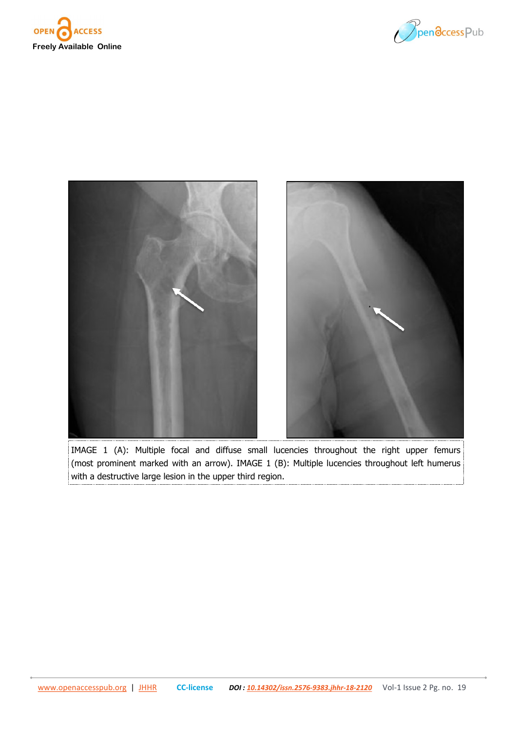





IMAGE 1 (A): Multiple focal and diffuse small lucencies throughout the right upper femurs (most prominent marked with an arrow). IMAGE 1 (B): Multiple lucencies throughout left humerus with a destructive large lesion in the upper third region.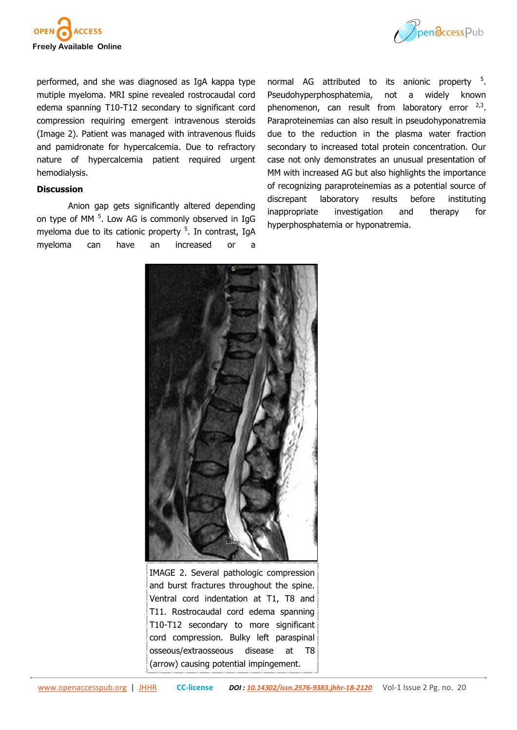



performed, and she was diagnosed as IgA kappa type mutiple myeloma. MRI spine revealed rostrocaudal cord edema spanning T10-T12 secondary to significant cord compression requiring emergent intravenous steroids (Image 2). Patient was managed with intravenous fluids and pamidronate for hypercalcemia. Due to refractory nature of hypercalcemia patient required urgent hemodialysis.

## **Discussion**

Anion gap gets significantly altered depending on type of MM <sup>5</sup>. Low AG is commonly observed in IgG myeloma due to its cationic property <sup>5</sup>. In contrast, IgA myeloma can have an increased or a

normal AG attributed to its anionic property <sup>5</sup>. Pseudohyperphosphatemia, not a widely known phenomenon, can result from laboratory error  $2,3$ . Paraproteinemias can also result in pseudohyponatremia due to the reduction in the plasma water fraction secondary to increased total protein concentration. Our case not only demonstrates an unusual presentation of MM with increased AG but also highlights the importance of recognizing paraproteinemias as a potential source of discrepant laboratory results before instituting inappropriate investigation and therapy for hyperphosphatemia or hyponatremia.



IMAGE 2. Several pathologic compression and burst fractures throughout the spine. Ventral cord indentation at T1, T8 and T11. Rostrocaudal cord edema spanning T10-T12 secondary to more significant cord compression. Bulky left paraspinal osseous/extraosseous disease at T8 (arrow) causing potential impingement.